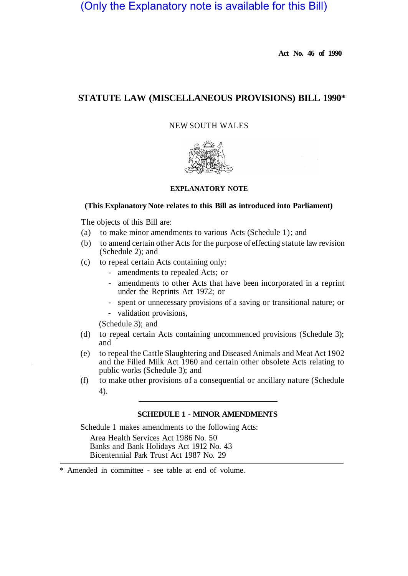# (Only the Explanatory note is available for this Bill)

**Act No. 46 of 1990** 

# **STATUTE LAW (MISCELLANEOUS PROVISIONS) BILL 1990\***

## NEW SOUTH WALES



### **EXPLANATORY NOTE**

#### **(This Explanatory Note relates to this Bill as introduced into Parliament)**

The objects of this Bill are:

- (a) to make minor amendments to various Acts (Schedule 1); and
- (b) to amend certain other Acts for the purpose of effecting statute law revision (Schedule 2); and
- (c) to repeal certain Acts containing only:
	- amendments to repealed Acts; or
	- amendments to other Acts that have been incorporated in a reprint under the Reprints Act 1972; or
	- spent or unnecessary provisions of a saving or transitional nature; or
	- validation provisions,

(Schedule 3); and

- (d) to repeal certain Acts containing uncommenced provisions (Schedule 3); and
- (e) to repeal the Cattle Slaughtering and Diseased Animals and Meat Act 1902 and the Filled Milk Act 1960 and certain other obsolete Acts relating to public works (Schedule 3); and
- (f) to make other provisions of a consequential or ancillary nature (Schedule 4).

#### **SCHEDULE 1 - MINOR AMENDMENTS**

Schedule 1 makes amendments to the following Acts:

Area Health Services Act 1986 No. 50 Banks and Bank Holidays Act 1912 No. 43 Bicentennial Park Trust Act 1987 No. 29

\* Amended in committee - see table at end of volume.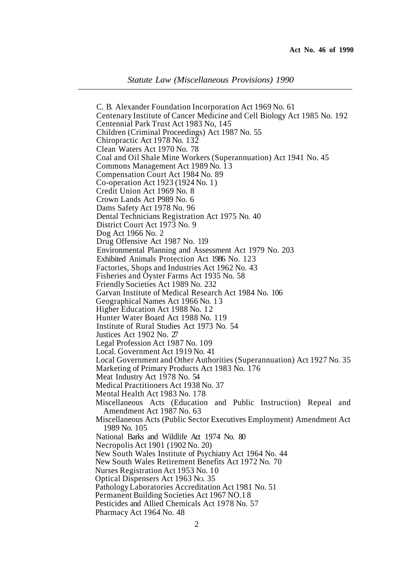*Statute Law (Miscellaneous Provisions) 1990* 

C. B. Alexander Foundation Incorporation Act 1969 No. 61 Centenary Institute of Cancer Medicine and Cell Biology Act 1985 No. 192 Centennial Park Trust Act 1983 No, 145 Children (Criminal Proceedings) Act 1987 No. 55 Chiropractic Act 1978 No. 132 Clean Waters Act 1970 No. 78 Coal and Oil Shale Mine Workers (Superannuation) Act 1941 No. 45 Commons Management Act 1989 No. 13 Compensation Court Act 1984 No. 89 Co-operation Act 1923 (1924 No. 1) Credit Union Act 1969 No. 8 Crown Lands Act P989 No. 6 Dams Safety Act 1978 No. 96 Den tal Technicians Registration Act 1975 No. 40 District Court Act 1973 No. 9 Dog Act 1966 No. 2 Drug Offensive Act 1987 No. 119 Environmental Planning and Assessment Act 1979 No. 203 Exhibited Animals Protection Act 1986 No. 123 Factories, Shops and Industries Act 1962 No. 43 Fisheries and Oyster Farms Act 1935 No. 58 Friendly Societies Act 1989 No. 232 Garvan Institute of Medical Research Act 1984 No. 106 Geographical Names Act 1966 No. 13 Higher Education Act 1988 No. 12 Hunter Water Board Act 1988 No. 119 Institute of Rural Studies Act 1973 No. 54 Justices Act 1902 No. 27 Legal Profession Act 1987 No. 109 Local. Government Act 1919 No. 41 Local Government and Other Authorities (Superannuation) Act 1927 No. 35 Marketing of Primary Products Act 1983 No. 176 Meat Industry Act 1978 No. 54 Medical Practitioners Act 1938 No. 37 Mental Health Act 1983 No. 178 Miscellaneous Acts (Education and Public Instruction) Repeal and Amendment Act 1987 No. 63 Miscellaneous Acts (Public Sector Executives Employment) Amendment Act 1989 No. 105 National Barks and Wildlife Act 1974 No. 80 Necropolis Act 1901 (1902 No. 20) New South Wales Institute of Psychiatry Act 1964 No. 44 New South Wales Retirement Benefits Act 1972 No. 70 Nurses Registration Act 1953 No. 10 Optical Dispensers Act 1963 NO. 35 Pathology Laboratories Accreditation Act 1981 No. 51 Permanent Building Societies Act 1967 NO. 18 Pesticides and Allied Chemicals Act 1978 No. 57 Pharmacy Act 1964 No. 48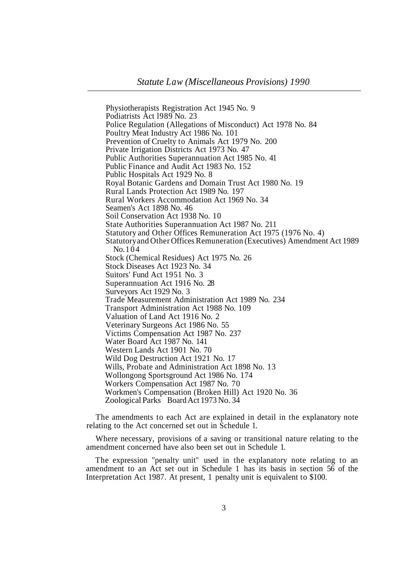Physiotherapists Registration Act 1945 No. 9 Podiatrists Act l989 No. 23 Police Regulation (Allegations of Misconduct) Act 1978 No. 84 Poultry Meat Industry Act 1986 No. 101 Prevention of Cruelty to Animals Act 1979 No. 200 Private Irrigation Districts Act 1973 No. 47 Public Authorities Superannuation Act 1985 No. 41 Public Finance and Audit Act 1983 No. 152 Public Hospitals Act 1929 No. 8 Royal Botanic Gardens and Domain Trust Act 1980 No. 19 Rural Lands Protection Act 1989 No. 197 Rural Workers Accommodation Act 1969 No. 34 Seamen's Act 1898 No. 46 Soil Conservation Act 1938 No. 10 State Authorities Superannuation Act 1987 No. 211 Statutory and Other Offices Remuneration Act 1975 (1976 No. 4) Statutory and Other Offices Remuneration (Executives) Amendment Act 1989 Stock (Chemical Residues) Act 1975 No. 26 Stock Diseases Act 1923 No. 34 Suitors' Fund Act 1951 No. 3 Superannuation Act 1916 No. 28 Surveyors Act 1929 No. 3 Trade Measurement Administration Act 1989 No. 234 Transport Administration Act 1988 No. 109 Valuation of Land Act 1916 No. 2 Veterinary Surgeons Act 1986 No. 55 Victims Compensation Act 1987 No. 237 Water Board Act 1987 No. 141 Western Lands Act 1901 No. 70 Wild Dog Destruction Act 1921 No. 17 Wills, Probate and Administration Act 1898 No. 13 Wollongong Sportsground Act 1986 No. 174 Workers Compensation Act 1987 No. 70 Workmen's Compensation (Broken Hill) Act 1920 No. 36 Zoological Parks Board Act 1973 No. 34 No. 104

The amendments to each Act are explained in detail in the explanatory note relating to the Act concerned set out in Schedule 1.

Where necessary, provisions of a saving or transitional nature relating to the amendment concerned have also been set out in Schedule 1.

The expression "penalty unit" used in the explanatory note relating to an amendment to an Act set out in Schedule 1 has its basis in section 56 of the Interpretation Act 1987. At present, 1 penalty unit is equivalent to \$100.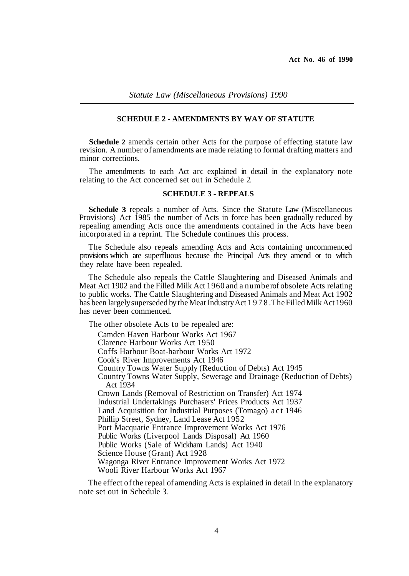#### **SCHEDULE 2 - AMENDMENTS BY WAY OF STATUTE**

**Schedule 2** amends certain other Acts for the purpose of effecting statute law revision. A number of amendments are made relating to formal drafting matters and minor corrections.

The amendments to each Act arc explained in detail in the explanatory note relating to the Act concerned set out in Schedule 2.

#### **SCHEDULE 3 - REPEALS**

**Schedule 3** repeals a number of Acts. Since the Statute Law (Miscellaneous Provisions) Act 1985 the number of Acts in force has been gradually reduced by repealing amending Acts once the amendments contained in the Acts have been incorporated in a reprint. The Schedule continues this process.

The Schedule also repeals amending Acts and Acts containing uncommenced provisions which are superfluous because the Principal Acts they amend or to which they relate have been repealed.

The Schedule also repeals the Cattle Slaughtering and Diseased Animals and Meat Act 1902 and the Filled Milk Act 1960 and a number of obsolete Acts relating to public works. The Cattle Slaughtering and Diseased Animals and Meat Act 1902 has been largely superseded by the Meat Industry Act 1978. The Filled Milk Act 1960 has never been commenced.

The other obsolete Acts to be repealed are:

Camden Haven Harbour Works Act 1967

Clarence Harbour Works Act 1950

Coffs Harbour Boat-harbour Works Act 1972

Cook's River Improvements Act 1946

Country Towns Water Supply (Reduction of Debts) Act 1945

Country Towns Water Supply, Sewerage and Drainage (Reduction of Debts) Act 1934

Crown Lands (Removal of Restriction on Transfer) Act 1974 Industrial Undertakings Purchasers' Prices Products Act 1937 Land Acquisition for Industrial Purposes (Tomago) act 1946 Phillip Street, Sydney, Land Lease Act 1952 Port Macquarie Entrance Improvement Works Act 1976 Public Works (Liverpool Lands Disposal) Act 1960 Public Works (Sale of Wickham Lands) Act 1940 Science House (Grant) Act 1928 Wagonga River Entrance Improvement Works Act 1972 Wooli River Harbour Works Act 1967

The effect of the repeal of amending Acts is explained in detail in the explanatory note set out in Schedule 3.